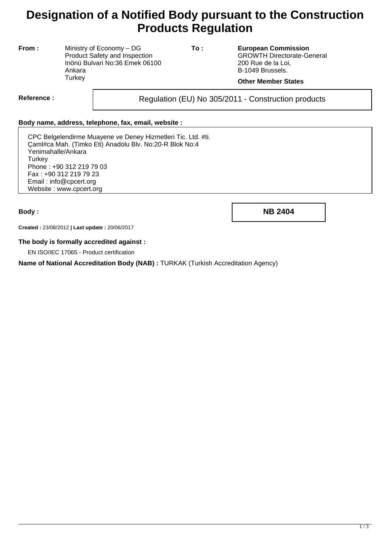# **Designation of a Notified Body pursuant to the Construction Products Regulation**

**From :** Ministry of Economy – DG Product Safety and Inspection Inönü Bulvari No:36 Emek 06100 Ankara **Turkey** 

**To : European Commission** GROWTH Directorate-General 200 Rue de la Loi, B-1049 Brussels.

### **Other Member States**

Reference : and **Regulation (EU) No 305/2011** - Construction products

#### **Body name, address, telephone, fax, email, website :**

CPC Belgelendirme Muayene ve Deney Hizmetleri Tic. Ltd. #ti. Çaml#ca Mah. (Timko Eti) Anadolu Blv. No:20-R Blok No:4 Yenimahalle/Ankara **Turkey** Phone : +90 312 219 79 03 Fax : +90 312 219 79 23 Email : info@cpcert.org Website : www.cpcert.org

**Body : NB 2404**

**Created :** 23/08/2012 **| Last update :** 20/06/2017

#### **The body is formally accredited against :**

EN ISO/IEC 17065 - Product certification

**Name of National Accreditation Body (NAB) :** TURKAK (Turkish Accreditation Agency)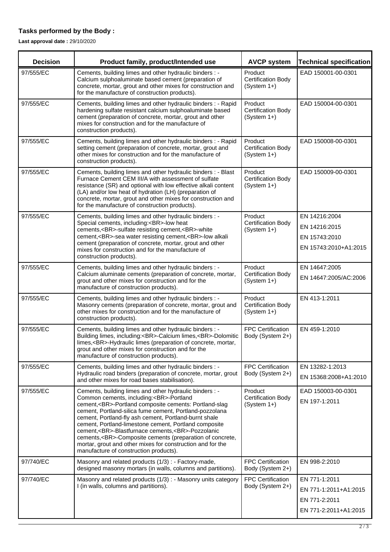## **Tasks performed by the Body :**

**Last approval date :** 29/10/2020

| <b>Decision</b> | Product family, product/Intended use                                                                                                                                                                                                                                                                                                                                                                                                                                                                                                                             | <b>AVCP system</b>                                    | <b>Technical specification</b>                                                   |
|-----------------|------------------------------------------------------------------------------------------------------------------------------------------------------------------------------------------------------------------------------------------------------------------------------------------------------------------------------------------------------------------------------------------------------------------------------------------------------------------------------------------------------------------------------------------------------------------|-------------------------------------------------------|----------------------------------------------------------------------------------|
| 97/555/EC       | Cements, building limes and other hydraulic binders : -<br>Calcium sulphoaluminate based cement (preparation of<br>concrete, mortar, grout and other mixes for construction and<br>for the manufacture of construction products).                                                                                                                                                                                                                                                                                                                                | Product<br>Certification Body<br>(System 1+)          | EAD 150001-00-0301                                                               |
| 97/555/EC       | Cements, building limes and other hydraulic binders : - Rapid<br>hardening sulfate resistant calcium sulphoaluminate based<br>cement (preparation of concrete, mortar, grout and other<br>mixes for construction and for the manufacture of<br>construction products).                                                                                                                                                                                                                                                                                           | Product<br><b>Certification Body</b><br>$(System 1+)$ | EAD 150004-00-0301                                                               |
| 97/555/EC       | Cements, building limes and other hydraulic binders : - Rapid<br>setting cement (preparation of concrete, mortar, grout and<br>other mixes for construction and for the manufacture of<br>construction products).                                                                                                                                                                                                                                                                                                                                                | Product<br><b>Certification Body</b><br>(System 1+)   | EAD 150008-00-0301                                                               |
| 97/555/EC       | Cements, building limes and other hydraulic binders : - Blast<br>Furnace Cement CEM III/A with assessment of sulfate<br>resistance (SR) and optional with low effective alkali content<br>(LA) and/or low heat of hydration (LH) (preparation of<br>concrete, mortar, grout and other mixes for construction and<br>for the manufacture of construction products).                                                                                                                                                                                               | Product<br><b>Certification Body</b><br>(System 1+)   | EAD 150009-00-0301                                                               |
| 97/555/EC       | Cements, building limes and other hydraulic binders : -<br>Special cements, including:<br>-low heat<br>cements,<br>-sulfate resisting cement,<br>-white<br>cement,<br>-sea water resisting cement,<br>-low alkali<br>cement (preparation of concrete, mortar, grout and other<br>mixes for construction and for the manufacture of<br>construction products).                                                                                                                                                                                                    | Product<br><b>Certification Body</b><br>(System 1+)   | EN 14216:2004<br>EN 14216:2015<br>EN 15743:2010<br>EN 15743:2010+A1:2015         |
| 97/555/EC       | Cements, building limes and other hydraulic binders : -<br>Calcium aluminate cements (preparation of concrete, mortar,<br>grout and other mixes for construction and for the<br>manufacture of construction products).                                                                                                                                                                                                                                                                                                                                           | Product<br><b>Certification Body</b><br>$(System 1+)$ | EN 14647:2005<br>EN 14647:2005/AC:2006                                           |
| 97/555/EC       | Cements, building limes and other hydraulic binders : -<br>Masonry cements (preparation of concrete, mortar, grout and<br>other mixes for construction and for the manufacture of<br>construction products).                                                                                                                                                                                                                                                                                                                                                     | Product<br><b>Certification Body</b><br>$(System 1+)$ | EN 413-1:2011                                                                    |
| 97/555/EC       | Cements, building limes and other hydraulic binders : -<br>Building limes, including:<br>-Calcium limes,<br>-Dolomitic<br>limes,<br>-Hydraulic limes (preparation of concrete, mortar,<br>grout and other mixes for construction and for the<br>manufacture of construction products).                                                                                                                                                                                                                                                                           | FPC Certification<br>Body (System 2+)                 | EN 459-1:2010                                                                    |
| 97/555/EC       | Cements, building limes and other hydraulic binders : -<br>Hydraulic road binders (preparation of concrete, mortar, grout<br>and other mixes for road bases stabilisation).                                                                                                                                                                                                                                                                                                                                                                                      | <b>FPC Certification</b><br>Body (System 2+)          | EN 13282-1:2013<br>EN 15368:2008+A1:2010                                         |
| 97/555/EC       | Cements, building limes and other hydraulic binders : -<br>Common cements, including:<br>-Portland<br>cement,<br>-Portland composite cements: Portland-slag<br>cement, Portland-silica fume cement, Portland-pozzolana<br>cement, Portland-fly ash cement, Portland-burnt shale<br>cement, Portland-limestone cement, Portland composite<br>cement,<br>-Blastfurnace cements,<br>-Pozzolanic<br>cements,<br>-Composite cements (preparation of concrete,<br>mortar, grout and other mixes for construction and for the<br>manufacture of construction products). | Product<br><b>Certification Body</b><br>$(System 1+)$ | EAD 150003-00-0301<br>EN 197-1:2011                                              |
| 97/740/EC       | Masonry and related products (1/3) : - Factory-made,<br>designed masonry mortars (in walls, columns and partitions).                                                                                                                                                                                                                                                                                                                                                                                                                                             | <b>FPC Certification</b><br>Body (System 2+)          | EN 998-2:2010                                                                    |
| 97/740/EC       | Masonry and related products (1/3) : - Masonry units category<br>I (in walls, columns and partitions).                                                                                                                                                                                                                                                                                                                                                                                                                                                           | <b>FPC Certification</b><br>Body (System 2+)          | EN 771-1:2011<br>EN 771-1:2011+A1:2015<br>EN 771-2:2011<br>EN 771-2:2011+A1:2015 |